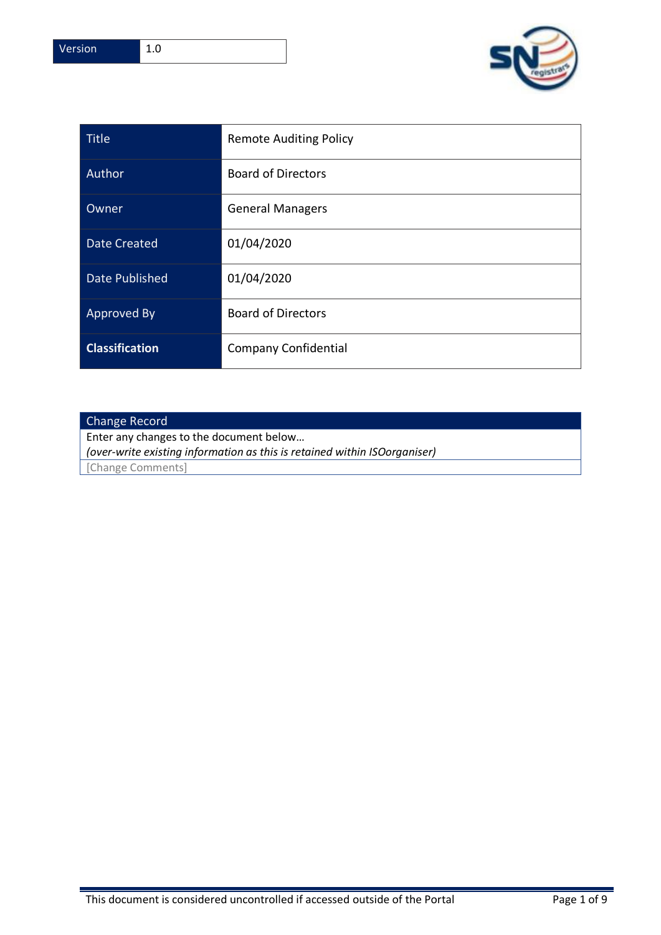

| <b>Title</b>          | <b>Remote Auditing Policy</b> |
|-----------------------|-------------------------------|
| Author                | <b>Board of Directors</b>     |
| Owner                 | <b>General Managers</b>       |
| <b>Date Created</b>   | 01/04/2020                    |
| <b>Date Published</b> | 01/04/2020                    |
| <b>Approved By</b>    | <b>Board of Directors</b>     |
| <b>Classification</b> | <b>Company Confidential</b>   |

# Change Record

Enter any changes to the document below…

*(over-write existing information as this is retained within ISOorganiser)*

[Change Comments]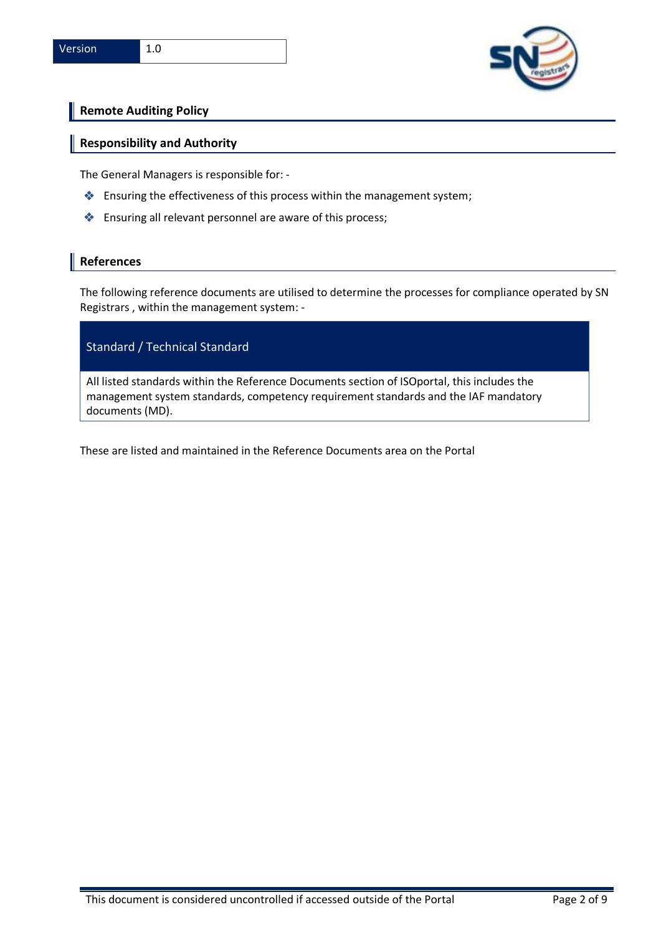

# **Remote Auditing Policy**

### **Responsibility and Authority**

The General Managers is responsible for: -

- ❖ Ensuring the effectiveness of this process within the management system;
- ❖ Ensuring all relevant personnel are aware of this process;

#### **References**

The following reference documents are utilised to determine the processes for compliance operated by SN Registrars , within the management system: -

## Standard / Technical Standard

All listed standards within the Reference Documents section of ISOportal, this includes the management system standards, competency requirement standards and the IAF mandatory documents (MD).

These are listed and maintained in the Reference Documents area on the Portal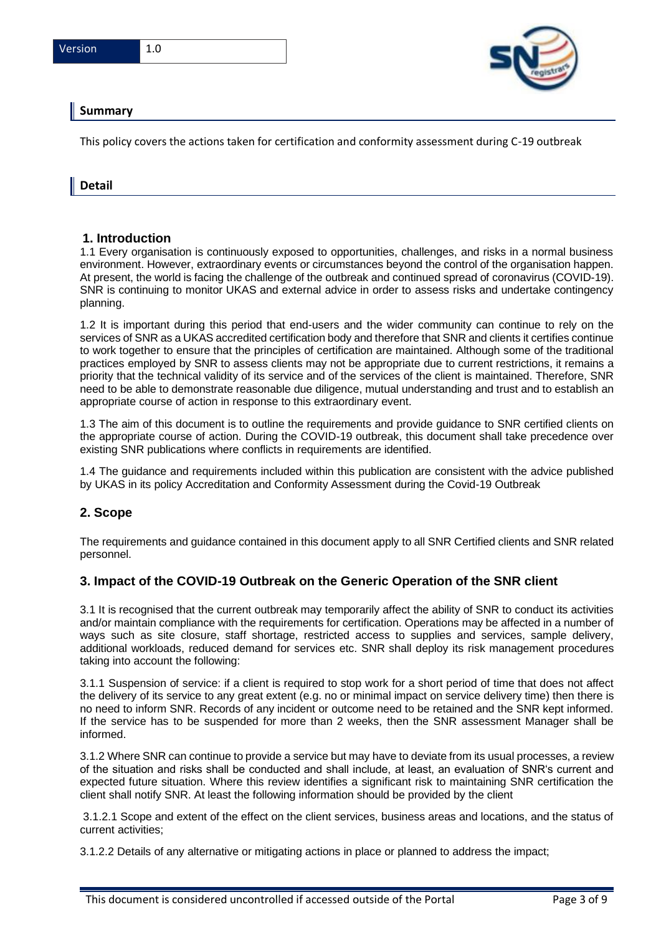

# **Summary**

This policy covers the actions taken for certification and conformity assessment during C-19 outbreak

### **Detail**

### **1. Introduction**

1.1 Every organisation is continuously exposed to opportunities, challenges, and risks in a normal business environment. However, extraordinary events or circumstances beyond the control of the organisation happen. At present, the world is facing the challenge of the outbreak and continued spread of coronavirus (COVID-19). SNR is continuing to monitor UKAS and external advice in order to assess risks and undertake contingency planning.

1.2 It is important during this period that end-users and the wider community can continue to rely on the services of SNR as a UKAS accredited certification body and therefore that SNR and clients it certifies continue to work together to ensure that the principles of certification are maintained. Although some of the traditional practices employed by SNR to assess clients may not be appropriate due to current restrictions, it remains a priority that the technical validity of its service and of the services of the client is maintained. Therefore, SNR need to be able to demonstrate reasonable due diligence, mutual understanding and trust and to establish an appropriate course of action in response to this extraordinary event.

1.3 The aim of this document is to outline the requirements and provide guidance to SNR certified clients on the appropriate course of action. During the COVID-19 outbreak, this document shall take precedence over existing SNR publications where conflicts in requirements are identified.

1.4 The guidance and requirements included within this publication are consistent with the advice published by UKAS in its policy Accreditation and Conformity Assessment during the Covid-19 Outbreak

### **2. Scope**

The requirements and guidance contained in this document apply to all SNR Certified clients and SNR related personnel.

### **3. Impact of the COVID-19 Outbreak on the Generic Operation of the SNR client**

3.1 It is recognised that the current outbreak may temporarily affect the ability of SNR to conduct its activities and/or maintain compliance with the requirements for certification. Operations may be affected in a number of ways such as site closure, staff shortage, restricted access to supplies and services, sample delivery, additional workloads, reduced demand for services etc. SNR shall deploy its risk management procedures taking into account the following:

3.1.1 Suspension of service: if a client is required to stop work for a short period of time that does not affect the delivery of its service to any great extent (e.g. no or minimal impact on service delivery time) then there is no need to inform SNR. Records of any incident or outcome need to be retained and the SNR kept informed. If the service has to be suspended for more than 2 weeks, then the SNR assessment Manager shall be informed.

3.1.2 Where SNR can continue to provide a service but may have to deviate from its usual processes, a review of the situation and risks shall be conducted and shall include, at least, an evaluation of SNR's current and expected future situation. Where this review identifies a significant risk to maintaining SNR certification the client shall notify SNR. At least the following information should be provided by the client

3.1.2.1 Scope and extent of the effect on the client services, business areas and locations, and the status of current activities;

3.1.2.2 Details of any alternative or mitigating actions in place or planned to address the impact;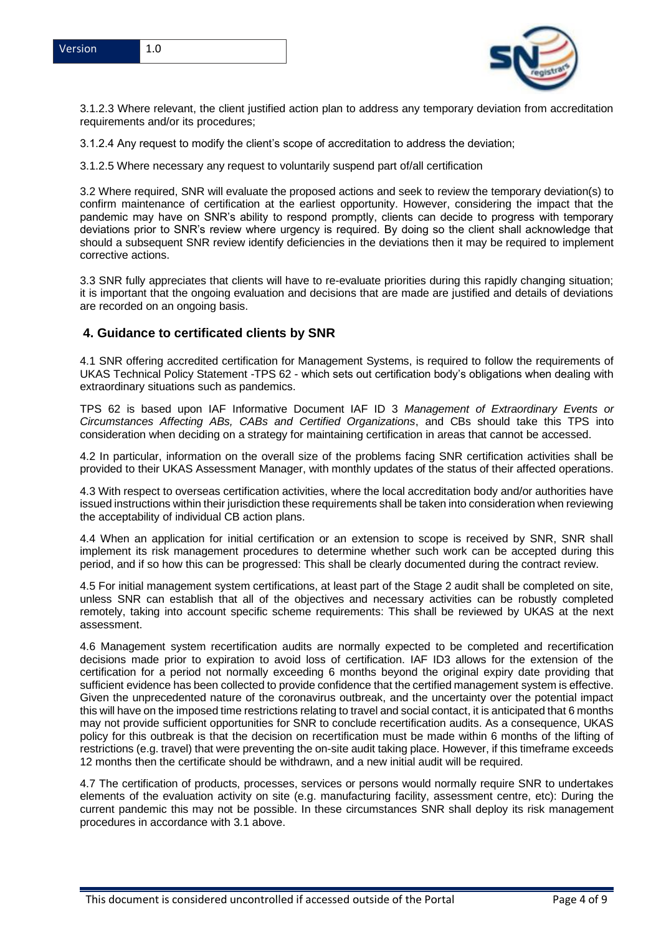

3.1.2.3 Where relevant, the client justified action plan to address any temporary deviation from accreditation requirements and/or its procedures;

3.1.2.4 Any request to modify the client's scope of accreditation to address the deviation;

3.1.2.5 Where necessary any request to voluntarily suspend part of/all certification

3.2 Where required, SNR will evaluate the proposed actions and seek to review the temporary deviation(s) to confirm maintenance of certification at the earliest opportunity. However, considering the impact that the pandemic may have on SNR's ability to respond promptly, clients can decide to progress with temporary deviations prior to SNR's review where urgency is required. By doing so the client shall acknowledge that should a subsequent SNR review identify deficiencies in the deviations then it may be required to implement corrective actions.

3.3 SNR fully appreciates that clients will have to re-evaluate priorities during this rapidly changing situation; it is important that the ongoing evaluation and decisions that are made are justified and details of deviations are recorded on an ongoing basis.

### **4. Guidance to certificated clients by SNR**

4.1 SNR offering accredited certification for Management Systems, is required to follow the requirements of UKAS Technical Policy Statement -TPS 62 - which sets out certification body's obligations when dealing with extraordinary situations such as pandemics.

TPS 62 is based upon IAF Informative Document IAF ID 3 *Management of Extraordinary Events or Circumstances Affecting ABs, CABs and Certified Organizations*, and CBs should take this TPS into consideration when deciding on a strategy for maintaining certification in areas that cannot be accessed.

4.2 In particular, information on the overall size of the problems facing SNR certification activities shall be provided to their UKAS Assessment Manager, with monthly updates of the status of their affected operations.

4.3 With respect to overseas certification activities, where the local accreditation body and/or authorities have issued instructions within their jurisdiction these requirements shall be taken into consideration when reviewing the acceptability of individual CB action plans.

4.4 When an application for initial certification or an extension to scope is received by SNR, SNR shall implement its risk management procedures to determine whether such work can be accepted during this period, and if so how this can be progressed: This shall be clearly documented during the contract review.

4.5 For initial management system certifications, at least part of the Stage 2 audit shall be completed on site, unless SNR can establish that all of the objectives and necessary activities can be robustly completed remotely, taking into account specific scheme requirements: This shall be reviewed by UKAS at the next assessment.

4.6 Management system recertification audits are normally expected to be completed and recertification decisions made prior to expiration to avoid loss of certification. IAF ID3 allows for the extension of the certification for a period not normally exceeding 6 months beyond the original expiry date providing that sufficient evidence has been collected to provide confidence that the certified management system is effective. Given the unprecedented nature of the coronavirus outbreak, and the uncertainty over the potential impact this will have on the imposed time restrictions relating to travel and social contact, it is anticipated that 6 months may not provide sufficient opportunities for SNR to conclude recertification audits. As a consequence, UKAS policy for this outbreak is that the decision on recertification must be made within 6 months of the lifting of restrictions (e.g. travel) that were preventing the on-site audit taking place. However, if this timeframe exceeds 12 months then the certificate should be withdrawn, and a new initial audit will be required.

4.7 The certification of products, processes, services or persons would normally require SNR to undertakes elements of the evaluation activity on site (e.g. manufacturing facility, assessment centre, etc): During the current pandemic this may not be possible. In these circumstances SNR shall deploy its risk management procedures in accordance with 3.1 above.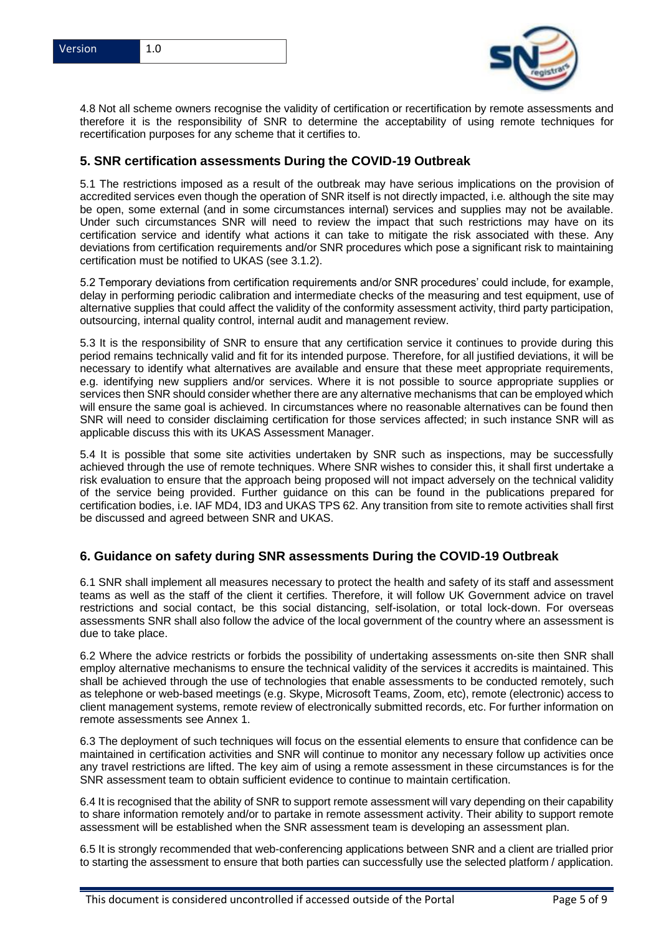



4.8 Not all scheme owners recognise the validity of certification or recertification by remote assessments and therefore it is the responsibility of SNR to determine the acceptability of using remote techniques for recertification purposes for any scheme that it certifies to.

## **5. SNR certification assessments During the COVID-19 Outbreak**

5.1 The restrictions imposed as a result of the outbreak may have serious implications on the provision of accredited services even though the operation of SNR itself is not directly impacted, i.e. although the site may be open, some external (and in some circumstances internal) services and supplies may not be available. Under such circumstances SNR will need to review the impact that such restrictions may have on its certification service and identify what actions it can take to mitigate the risk associated with these. Any deviations from certification requirements and/or SNR procedures which pose a significant risk to maintaining certification must be notified to UKAS (see 3.1.2).

5.2 Temporary deviations from certification requirements and/or SNR procedures' could include, for example, delay in performing periodic calibration and intermediate checks of the measuring and test equipment, use of alternative supplies that could affect the validity of the conformity assessment activity, third party participation, outsourcing, internal quality control, internal audit and management review.

5.3 It is the responsibility of SNR to ensure that any certification service it continues to provide during this period remains technically valid and fit for its intended purpose. Therefore, for all justified deviations, it will be necessary to identify what alternatives are available and ensure that these meet appropriate requirements, e.g. identifying new suppliers and/or services. Where it is not possible to source appropriate supplies or services then SNR should consider whether there are any alternative mechanisms that can be employed which will ensure the same goal is achieved. In circumstances where no reasonable alternatives can be found then SNR will need to consider disclaiming certification for those services affected; in such instance SNR will as applicable discuss this with its UKAS Assessment Manager.

5.4 It is possible that some site activities undertaken by SNR such as inspections, may be successfully achieved through the use of remote techniques. Where SNR wishes to consider this, it shall first undertake a risk evaluation to ensure that the approach being proposed will not impact adversely on the technical validity of the service being provided. Further guidance on this can be found in the publications prepared for certification bodies, i.e. IAF MD4, ID3 and UKAS TPS 62. Any transition from site to remote activities shall first be discussed and agreed between SNR and UKAS.

### **6. Guidance on safety during SNR assessments During the COVID-19 Outbreak**

6.1 SNR shall implement all measures necessary to protect the health and safety of its staff and assessment teams as well as the staff of the client it certifies. Therefore, it will follow UK Government advice on travel restrictions and social contact, be this social distancing, self-isolation, or total lock-down. For overseas assessments SNR shall also follow the advice of the local government of the country where an assessment is due to take place.

6.2 Where the advice restricts or forbids the possibility of undertaking assessments on-site then SNR shall employ alternative mechanisms to ensure the technical validity of the services it accredits is maintained. This shall be achieved through the use of technologies that enable assessments to be conducted remotely, such as telephone or web-based meetings (e.g. Skype, Microsoft Teams, Zoom, etc), remote (electronic) access to client management systems, remote review of electronically submitted records, etc. For further information on remote assessments see Annex 1.

6.3 The deployment of such techniques will focus on the essential elements to ensure that confidence can be maintained in certification activities and SNR will continue to monitor any necessary follow up activities once any travel restrictions are lifted. The key aim of using a remote assessment in these circumstances is for the SNR assessment team to obtain sufficient evidence to continue to maintain certification.

6.4 It is recognised that the ability of SNR to support remote assessment will vary depending on their capability to share information remotely and/or to partake in remote assessment activity. Their ability to support remote assessment will be established when the SNR assessment team is developing an assessment plan.

6.5 It is strongly recommended that web-conferencing applications between SNR and a client are trialled prior to starting the assessment to ensure that both parties can successfully use the selected platform / application.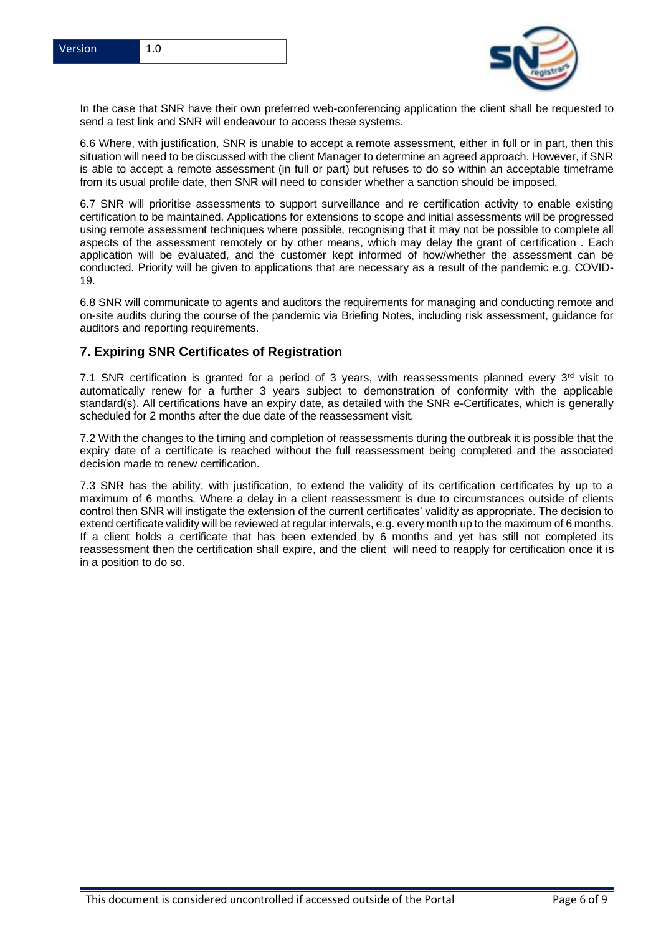

In the case that SNR have their own preferred web-conferencing application the client shall be requested to send a test link and SNR will endeavour to access these systems.

6.6 Where, with justification, SNR is unable to accept a remote assessment, either in full or in part, then this situation will need to be discussed with the client Manager to determine an agreed approach. However, if SNR is able to accept a remote assessment (in full or part) but refuses to do so within an acceptable timeframe from its usual profile date, then SNR will need to consider whether a sanction should be imposed.

6.7 SNR will prioritise assessments to support surveillance and re certification activity to enable existing certification to be maintained. Applications for extensions to scope and initial assessments will be progressed using remote assessment techniques where possible, recognising that it may not be possible to complete all aspects of the assessment remotely or by other means, which may delay the grant of certification . Each application will be evaluated, and the customer kept informed of how/whether the assessment can be conducted. Priority will be given to applications that are necessary as a result of the pandemic e.g. COVID-19.

6.8 SNR will communicate to agents and auditors the requirements for managing and conducting remote and on-site audits during the course of the pandemic via Briefing Notes, including risk assessment, guidance for auditors and reporting requirements.

### **7. Expiring SNR Certificates of Registration**

7.1 SNR certification is granted for a period of 3 years, with reassessments planned every  $3<sup>rd</sup>$  visit to automatically renew for a further 3 years subject to demonstration of conformity with the applicable standard(s). All certifications have an expiry date, as detailed with the SNR e-Certificates, which is generally scheduled for 2 months after the due date of the reassessment visit.

7.2 With the changes to the timing and completion of reassessments during the outbreak it is possible that the expiry date of a certificate is reached without the full reassessment being completed and the associated decision made to renew certification.

7.3 SNR has the ability, with justification, to extend the validity of its certification certificates by up to a maximum of 6 months. Where a delay in a client reassessment is due to circumstances outside of clients control then SNR will instigate the extension of the current certificates' validity as appropriate. The decision to extend certificate validity will be reviewed at regular intervals, e.g. every month up to the maximum of 6 months. If a client holds a certificate that has been extended by 6 months and yet has still not completed its reassessment then the certification shall expire, and the client will need to reapply for certification once it is in a position to do so.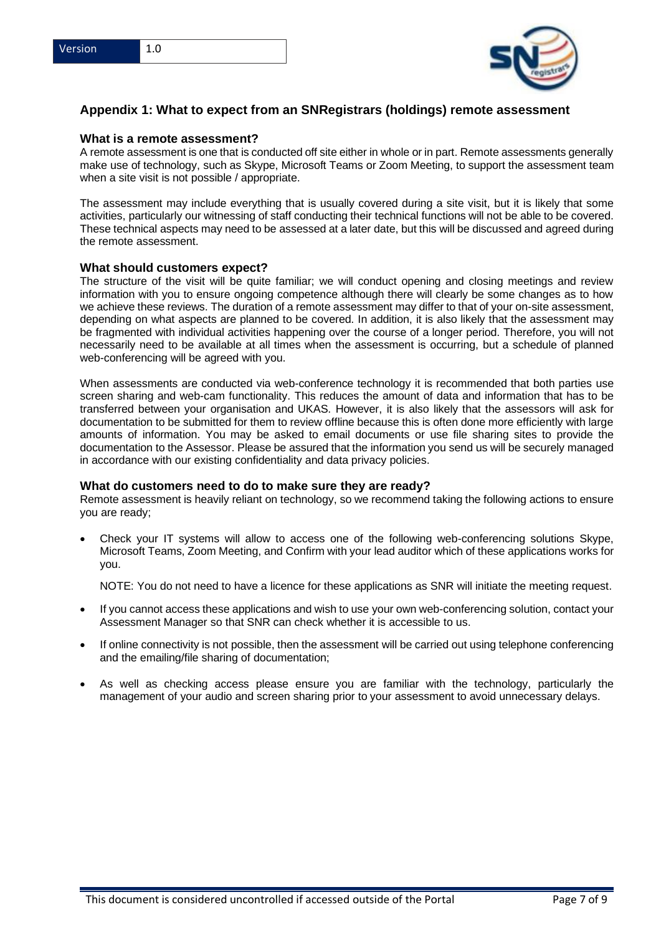



# **Appendix 1: What to expect from an SNRegistrars (holdings) remote assessment**

#### **What is a remote assessment?**

A remote assessment is one that is conducted off site either in whole or in part. Remote assessments generally make use of technology, such as Skype, Microsoft Teams or Zoom Meeting, to support the assessment team when a site visit is not possible / appropriate.

The assessment may include everything that is usually covered during a site visit, but it is likely that some activities, particularly our witnessing of staff conducting their technical functions will not be able to be covered. These technical aspects may need to be assessed at a later date, but this will be discussed and agreed during the remote assessment.

#### **What should customers expect?**

The structure of the visit will be quite familiar; we will conduct opening and closing meetings and review information with you to ensure ongoing competence although there will clearly be some changes as to how we achieve these reviews. The duration of a remote assessment may differ to that of your on-site assessment, depending on what aspects are planned to be covered. In addition, it is also likely that the assessment may be fragmented with individual activities happening over the course of a longer period. Therefore, you will not necessarily need to be available at all times when the assessment is occurring, but a schedule of planned web-conferencing will be agreed with you.

When assessments are conducted via web-conference technology it is recommended that both parties use screen sharing and web-cam functionality. This reduces the amount of data and information that has to be transferred between your organisation and UKAS. However, it is also likely that the assessors will ask for documentation to be submitted for them to review offline because this is often done more efficiently with large amounts of information. You may be asked to email documents or use file sharing sites to provide the documentation to the Assessor. Please be assured that the information you send us will be securely managed in accordance with our existing confidentiality and data privacy policies.

#### **What do customers need to do to make sure they are ready?**

Remote assessment is heavily reliant on technology, so we recommend taking the following actions to ensure you are ready;

• Check your IT systems will allow to access one of the following web-conferencing solutions Skype, Microsoft Teams, Zoom Meeting, and Confirm with your lead auditor which of these applications works for you.

NOTE: You do not need to have a licence for these applications as SNR will initiate the meeting request.

- If you cannot access these applications and wish to use your own web-conferencing solution, contact your Assessment Manager so that SNR can check whether it is accessible to us.
- If online connectivity is not possible, then the assessment will be carried out using telephone conferencing and the emailing/file sharing of documentation;
- As well as checking access please ensure you are familiar with the technology, particularly the management of your audio and screen sharing prior to your assessment to avoid unnecessary delays.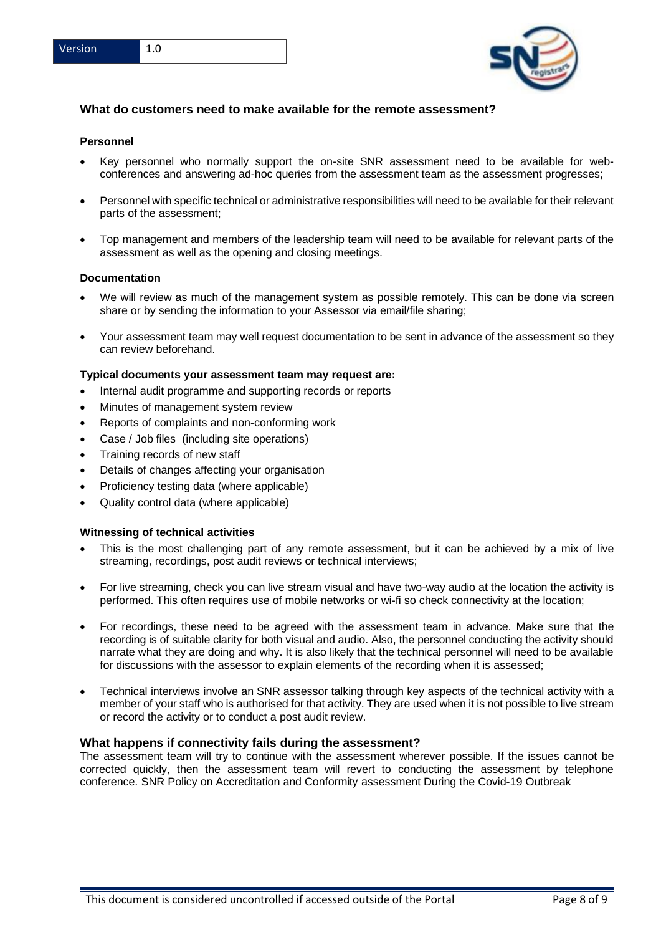

## **What do customers need to make available for the remote assessment?**

#### **Personnel**

- Key personnel who normally support the on-site SNR assessment need to be available for webconferences and answering ad-hoc queries from the assessment team as the assessment progresses;
- Personnel with specific technical or administrative responsibilities will need to be available for their relevant parts of the assessment;
- Top management and members of the leadership team will need to be available for relevant parts of the assessment as well as the opening and closing meetings.

#### **Documentation**

- We will review as much of the management system as possible remotely. This can be done via screen share or by sending the information to your Assessor via email/file sharing;
- Your assessment team may well request documentation to be sent in advance of the assessment so they can review beforehand.

#### **Typical documents your assessment team may request are:**

- Internal audit programme and supporting records or reports
- Minutes of management system review
- Reports of complaints and non-conforming work
- Case / Job files (including site operations)
- Training records of new staff
- Details of changes affecting your organisation
- Proficiency testing data (where applicable)
- Quality control data (where applicable)

#### **Witnessing of technical activities**

- This is the most challenging part of any remote assessment, but it can be achieved by a mix of live streaming, recordings, post audit reviews or technical interviews;
- For live streaming, check you can live stream visual and have two-way audio at the location the activity is performed. This often requires use of mobile networks or wi-fi so check connectivity at the location;
- For recordings, these need to be agreed with the assessment team in advance. Make sure that the recording is of suitable clarity for both visual and audio. Also, the personnel conducting the activity should narrate what they are doing and why. It is also likely that the technical personnel will need to be available for discussions with the assessor to explain elements of the recording when it is assessed;
- Technical interviews involve an SNR assessor talking through key aspects of the technical activity with a member of your staff who is authorised for that activity. They are used when it is not possible to live stream or record the activity or to conduct a post audit review.

#### **What happens if connectivity fails during the assessment?**

The assessment team will try to continue with the assessment wherever possible. If the issues cannot be corrected quickly, then the assessment team will revert to conducting the assessment by telephone conference. SNR Policy on Accreditation and Conformity assessment During the Covid-19 Outbreak